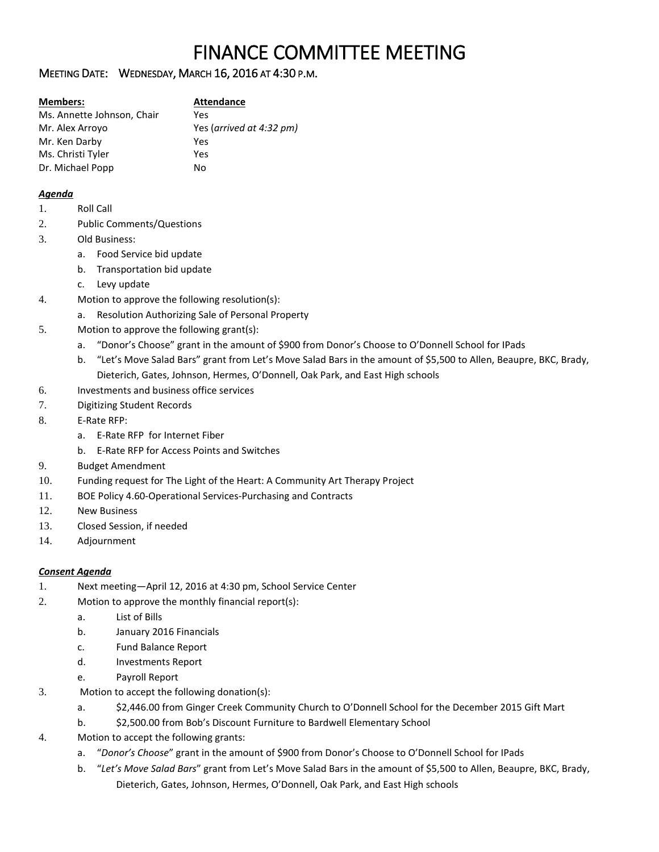# FINANCE COMMITTEE MEETING

## MEETING DATE: WEDNESDAY, MARCH 16, 2016 AT 4:30 P.M.

| <b>Members:</b>            | <b>Attendance</b>        |
|----------------------------|--------------------------|
| Ms. Annette Johnson, Chair | Yes                      |
| Mr. Alex Arroyo            | Yes (arrived at 4:32 pm) |
| Mr. Ken Darby              | Yes                      |
| Ms. Christi Tyler          | Yes                      |
| Dr. Michael Popp           | No                       |

### *Agenda*

- 1. Roll Call
- 2. Public Comments/Questions
- 3. Old Business:
	- a. Food Service bid update
	- b. Transportation bid update
	- c. Levy update
- 4. Motion to approve the following resolution(s):
	- a. Resolution Authorizing Sale of Personal Property
- 5. Motion to approve the following grant(s):
	- a. "Donor's Choose" grant in the amount of \$900 from Donor's Choose to O'Donnell School for IPads
	- b. "Let's Move Salad Bars" grant from Let's Move Salad Bars in the amount of \$5,500 to Allen, Beaupre, BKC, Brady, Dieterich, Gates, Johnson, Hermes, O'Donnell, Oak Park, and East High schools
- 6. Investments and business office services
- 7. Digitizing Student Records
- 8. E-Rate RFP:
	- a. E-Rate RFP for Internet Fiber
	- b. E-Rate RFP for Access Points and Switches
- 9. Budget Amendment
- 10. Funding request for The Light of the Heart: A Community Art Therapy Project
- 11. BOE Policy 4.60-Operational Services-Purchasing and Contracts
- 12. New Business
- 13. Closed Session, if needed
- 14. Adjournment

## *Consent Agenda*

- 1. Next meeting—April 12, 2016 at 4:30 pm, School Service Center
- 2. Motion to approve the monthly financial report(s):
	- a. List of Bills
	- b. January 2016 Financials
	- c. Fund Balance Report
	- d. Investments Report
	- e. Payroll Report
- 3. Motion to accept the following donation(s):
	- a. \$2,446.00 from Ginger Creek Community Church to O'Donnell School for the December 2015 Gift Mart
	- b. \$2,500.00 from Bob's Discount Furniture to Bardwell Elementary School
- 4. Motion to accept the following grants:
	- a. "*Donor's Choose*" grant in the amount of \$900 from Donor's Choose to O'Donnell School for IPads
	- b. "*Let's Move Salad Bars*" grant from Let's Move Salad Bars in the amount of \$5,500 to Allen, Beaupre, BKC, Brady, Dieterich, Gates, Johnson, Hermes, O'Donnell, Oak Park, and East High schools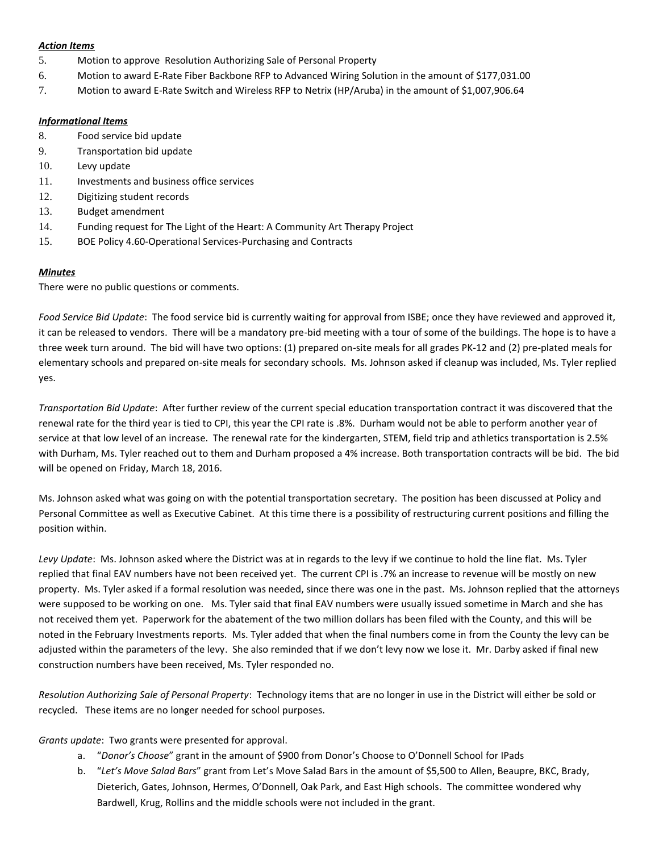#### *Action Items*

- 5. Motion to approve Resolution Authorizing Sale of Personal Property
- 6. Motion to award E-Rate Fiber Backbone RFP to Advanced Wiring Solution in the amount of \$177,031.00
- 7. Motion to award E-Rate Switch and Wireless RFP to Netrix (HP/Aruba) in the amount of \$1,007,906.64

## *Informational Items*

- 8. Food service bid update
- 9. Transportation bid update
- 10. Levy update
- 11. Investments and business office services
- 12. Digitizing student records
- 13. Budget amendment
- 14. Funding request for The Light of the Heart: A Community Art Therapy Project
- 15. BOE Policy 4.60-Operational Services-Purchasing and Contracts

# *Minutes*

There were no public questions or comments.

*Food Service Bid Update*: The food service bid is currently waiting for approval from ISBE; once they have reviewed and approved it, it can be released to vendors. There will be a mandatory pre-bid meeting with a tour of some of the buildings. The hope is to have a three week turn around. The bid will have two options: (1) prepared on-site meals for all grades PK-12 and (2) pre-plated meals for elementary schools and prepared on-site meals for secondary schools. Ms. Johnson asked if cleanup was included, Ms. Tyler replied yes.

*Transportation Bid Update*: After further review of the current special education transportation contract it was discovered that the renewal rate for the third year is tied to CPI, this year the CPI rate is .8%. Durham would not be able to perform another year of service at that low level of an increase. The renewal rate for the kindergarten, STEM, field trip and athletics transportation is 2.5% with Durham, Ms. Tyler reached out to them and Durham proposed a 4% increase. Both transportation contracts will be bid. The bid will be opened on Friday, March 18, 2016.

Ms. Johnson asked what was going on with the potential transportation secretary. The position has been discussed at Policy and Personal Committee as well as Executive Cabinet. At this time there is a possibility of restructuring current positions and filling the position within.

*Levy Update*: Ms. Johnson asked where the District was at in regards to the levy if we continue to hold the line flat. Ms. Tyler replied that final EAV numbers have not been received yet. The current CPI is .7% an increase to revenue will be mostly on new property. Ms. Tyler asked if a formal resolution was needed, since there was one in the past. Ms. Johnson replied that the attorneys were supposed to be working on one. Ms. Tyler said that final EAV numbers were usually issued sometime in March and she has not received them yet. Paperwork for the abatement of the two million dollars has been filed with the County, and this will be noted in the February Investments reports. Ms. Tyler added that when the final numbers come in from the County the levy can be adjusted within the parameters of the levy. She also reminded that if we don't levy now we lose it. Mr. Darby asked if final new construction numbers have been received, Ms. Tyler responded no.

*Resolution Authorizing Sale of Personal Property*: Technology items that are no longer in use in the District will either be sold or recycled. These items are no longer needed for school purposes.

*Grants update*: Two grants were presented for approval.

- a. "*Donor's Choose*" grant in the amount of \$900 from Donor's Choose to O'Donnell School for IPads
- b. "*Let's Move Salad Bars*" grant from Let's Move Salad Bars in the amount of \$5,500 to Allen, Beaupre, BKC, Brady, Dieterich, Gates, Johnson, Hermes, O'Donnell, Oak Park, and East High schools. The committee wondered why Bardwell, Krug, Rollins and the middle schools were not included in the grant.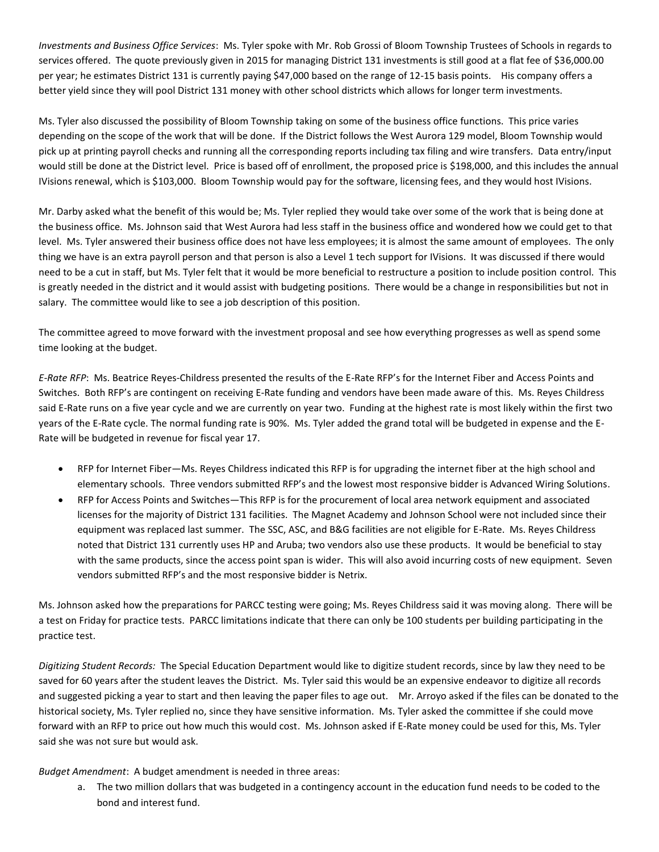*Investments and Business Office Services*: Ms. Tyler spoke with Mr. Rob Grossi of Bloom Township Trustees of Schools in regards to services offered. The quote previously given in 2015 for managing District 131 investments is still good at a flat fee of \$36,000.00 per year; he estimates District 131 is currently paying \$47,000 based on the range of 12-15 basis points. His company offers a better yield since they will pool District 131 money with other school districts which allows for longer term investments.

Ms. Tyler also discussed the possibility of Bloom Township taking on some of the business office functions. This price varies depending on the scope of the work that will be done. If the District follows the West Aurora 129 model, Bloom Township would pick up at printing payroll checks and running all the corresponding reports including tax filing and wire transfers. Data entry/input would still be done at the District level. Price is based off of enrollment, the proposed price is \$198,000, and this includes the annual IVisions renewal, which is \$103,000. Bloom Township would pay for the software, licensing fees, and they would host IVisions.

Mr. Darby asked what the benefit of this would be; Ms. Tyler replied they would take over some of the work that is being done at the business office. Ms. Johnson said that West Aurora had less staff in the business office and wondered how we could get to that level. Ms. Tyler answered their business office does not have less employees; it is almost the same amount of employees. The only thing we have is an extra payroll person and that person is also a Level 1 tech support for IVisions. It was discussed if there would need to be a cut in staff, but Ms. Tyler felt that it would be more beneficial to restructure a position to include position control. This is greatly needed in the district and it would assist with budgeting positions. There would be a change in responsibilities but not in salary. The committee would like to see a job description of this position.

The committee agreed to move forward with the investment proposal and see how everything progresses as well as spend some time looking at the budget.

*E-Rate RFP*: Ms. Beatrice Reyes-Childress presented the results of the E-Rate RFP's for the Internet Fiber and Access Points and Switches. Both RFP's are contingent on receiving E-Rate funding and vendors have been made aware of this. Ms. Reyes Childress said E-Rate runs on a five year cycle and we are currently on year two. Funding at the highest rate is most likely within the first two years of the E-Rate cycle. The normal funding rate is 90%. Ms. Tyler added the grand total will be budgeted in expense and the E-Rate will be budgeted in revenue for fiscal year 17.

- RFP for Internet Fiber—Ms. Reyes Childress indicated this RFP is for upgrading the internet fiber at the high school and elementary schools. Three vendors submitted RFP's and the lowest most responsive bidder is Advanced Wiring Solutions.
- RFP for Access Points and Switches—This RFP is for the procurement of local area network equipment and associated licenses for the majority of District 131 facilities. The Magnet Academy and Johnson School were not included since their equipment was replaced last summer. The SSC, ASC, and B&G facilities are not eligible for E-Rate. Ms. Reyes Childress noted that District 131 currently uses HP and Aruba; two vendors also use these products. It would be beneficial to stay with the same products, since the access point span is wider. This will also avoid incurring costs of new equipment. Seven vendors submitted RFP's and the most responsive bidder is Netrix.

Ms. Johnson asked how the preparations for PARCC testing were going; Ms. Reyes Childress said it was moving along. There will be a test on Friday for practice tests. PARCC limitations indicate that there can only be 100 students per building participating in the practice test.

*Digitizing Student Records:* The Special Education Department would like to digitize student records, since by law they need to be saved for 60 years after the student leaves the District. Ms. Tyler said this would be an expensive endeavor to digitize all records and suggested picking a year to start and then leaving the paper files to age out. Mr. Arroyo asked if the files can be donated to the historical society, Ms. Tyler replied no, since they have sensitive information. Ms. Tyler asked the committee if she could move forward with an RFP to price out how much this would cost. Ms. Johnson asked if E-Rate money could be used for this, Ms. Tyler said she was not sure but would ask.

*Budget Amendment*: A budget amendment is needed in three areas:

a. The two million dollars that was budgeted in a contingency account in the education fund needs to be coded to the bond and interest fund.